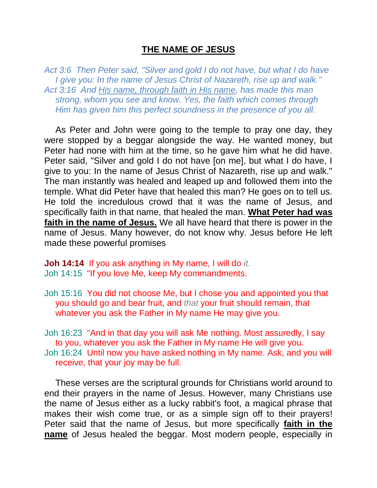## **THE NAME OF JESUS**

*Act 3:6 Then Peter said, "Silver and gold I do not have, but what I do have I give you: In the name of Jesus Christ of Nazareth, rise up and walk." Act 3:16 And His name, through faith in His name, has made this man strong, whom you see and know. Yes, the faith which comes through Him has given him this perfect soundness in the presence of you all.* 

As Peter and John were going to the temple to pray one day, they were stopped by a beggar alongside the way. He wanted money, but Peter had none with him at the time, so he gave him what he did have. Peter said, "Silver and gold I do not have [on me], but what I do have, I give to you: In the name of Jesus Christ of Nazareth, rise up and walk." The man instantly was healed and leaped up and followed them into the temple. What did Peter have that healed this man? He goes on to tell us. He told the incredulous crowd that it was the name of Jesus, and specifically faith in that name, that healed the man. **What Peter had was faith in the name of Jesus.** We all have heard that there is power in the name of Jesus. Many however, do not know why. Jesus before He left made these powerful promises

**Joh 14:14** If you ask anything in My name, I will do *it.* Joh 14:15 "If you love Me, keep My commandments.

Joh 15:16 You did not choose Me, but I chose you and appointed you that you should go and bear fruit, and *that* your fruit should remain, that whatever you ask the Father in My name He may give you.

Joh 16:23 "And in that day you will ask Me nothing. Most assuredly, I say to you, whatever you ask the Father in My name He will give you. Joh 16:24 Until now you have asked nothing in My name. Ask, and you will receive, that your joy may be full.

These verses are the scriptural grounds for Christians world around to end their prayers in the name of Jesus. However, many Christians use the name of Jesus either as a lucky rabbit's foot, a magical phrase that makes their wish come true, or as a simple sign off to their prayers! Peter said that the name of Jesus, but more specifically **faith in the name** of Jesus healed the beggar. Most modern people, especially in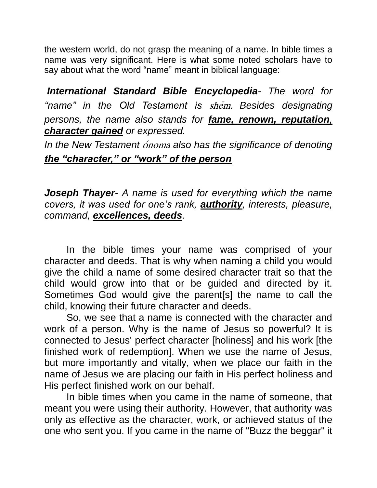the western world, do not grasp the meaning of a name. In bible times a name was very significant. Here is what some noted scholars have to say about what the word "name" meant in biblical language:

*International Standard Bible Encyclopedia- The word for "name" in the Old Testament is* shēm. *Besides designating persons, the name also stands for fame, renown, reputation, character gained or expressed.* 

*In the New Testament* ónoma *also has the significance of denoting the "character," or "work" of the person*

*Joseph Thayer- A name is used for everything which the name covers, it was used for one's rank, authority, interests, pleasure, command, excellences, deeds.*

In the bible times your name was comprised of your character and deeds. That is why when naming a child you would give the child a name of some desired character trait so that the child would grow into that or be guided and directed by it. Sometimes God would give the parent[s] the name to call the child, knowing their future character and deeds.

So, we see that a name is connected with the character and work of a person. Why is the name of Jesus so powerful? It is connected to Jesus' perfect character [holiness] and his work [the finished work of redemption]. When we use the name of Jesus, but more importantly and vitally, when we place our faith in the name of Jesus we are placing our faith in His perfect holiness and His perfect finished work on our behalf.

In bible times when you came in the name of someone, that meant you were using their authority. However, that authority was only as effective as the character, work, or achieved status of the one who sent you. If you came in the name of "Buzz the beggar" it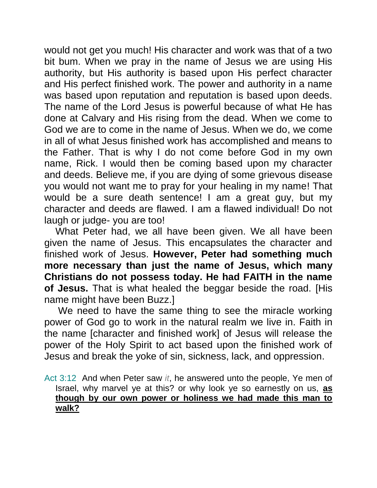would not get you much! His character and work was that of a two bit bum. When we pray in the name of Jesus we are using His authority, but His authority is based upon His perfect character and His perfect finished work. The power and authority in a name was based upon reputation and reputation is based upon deeds. The name of the Lord Jesus is powerful because of what He has done at Calvary and His rising from the dead. When we come to God we are to come in the name of Jesus. When we do, we come in all of what Jesus finished work has accomplished and means to the Father. That is why I do not come before God in my own name, Rick. I would then be coming based upon my character and deeds. Believe me, if you are dying of some grievous disease you would not want me to pray for your healing in my name! That would be a sure death sentence! I am a great guy, but my character and deeds are flawed. I am a flawed individual! Do not laugh or judge- you are too!

What Peter had, we all have been given. We all have been given the name of Jesus. This encapsulates the character and finished work of Jesus. **However, Peter had something much more necessary than just the name of Jesus, which many Christians do not possess today. He had FAITH in the name of Jesus.** That is what healed the beggar beside the road. [His name might have been Buzz.]

We need to have the same thing to see the miracle working power of God go to work in the natural realm we live in. Faith in the name [character and finished work] of Jesus will release the power of the Holy Spirit to act based upon the finished work of Jesus and break the yoke of sin, sickness, lack, and oppression.

Act 3:12 And when Peter saw *it*, he answered unto the people, Ye men of Israel, why marvel ye at this? or why look ye so earnestly on us, **as though by our own power or holiness we had made this man to walk?**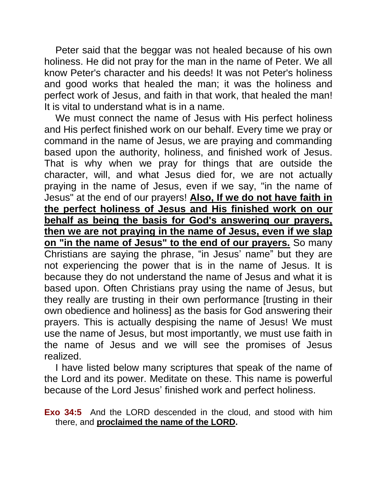Peter said that the beggar was not healed because of his own holiness. He did not pray for the man in the name of Peter. We all know Peter's character and his deeds! It was not Peter's holiness and good works that healed the man; it was the holiness and perfect work of Jesus, and faith in that work, that healed the man! It is vital to understand what is in a name.

We must connect the name of Jesus with His perfect holiness and His perfect finished work on our behalf. Every time we pray or command in the name of Jesus, we are praying and commanding based upon the authority, holiness, and finished work of Jesus. That is why when we pray for things that are outside the character, will, and what Jesus died for, we are not actually praying in the name of Jesus, even if we say, "in the name of Jesus" at the end of our prayers! **Also, If we do not have faith in the perfect holiness of Jesus and His finished work on our behalf as being the basis for God's answering our prayers, then we are not praying in the name of Jesus, even if we slap on "in the name of Jesus" to the end of our prayers.** So many Christians are saying the phrase, "in Jesus' name" but they are not experiencing the power that is in the name of Jesus. It is because they do not understand the name of Jesus and what it is based upon. Often Christians pray using the name of Jesus, but they really are trusting in their own performance [trusting in their own obedience and holiness] as the basis for God answering their prayers. This is actually despising the name of Jesus! We must use the name of Jesus, but most importantly, we must use faith in the name of Jesus and we will see the promises of Jesus realized.

I have listed below many scriptures that speak of the name of the Lord and its power. Meditate on these. This name is powerful because of the Lord Jesus' finished work and perfect holiness.

**Exo 34:5** And the LORD descended in the cloud, and stood with him there, and **proclaimed the name of the LORD.**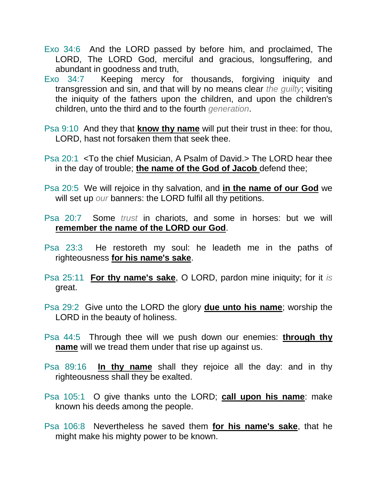- Exo 34:6 And the LORD passed by before him, and proclaimed, The LORD, The LORD God, merciful and gracious, longsuffering, and abundant in goodness and truth,
- Exo 34:7 Keeping mercy for thousands, forgiving iniquity and transgression and sin, and that will by no means clear *the guilty*; visiting the iniquity of the fathers upon the children, and upon the children's children, unto the third and to the fourth *generation*.
- Psa 9:10 And they that **know thy name** will put their trust in thee: for thou, LORD, hast not forsaken them that seek thee.
- Psa 20:1 <To the chief Musician, A Psalm of David.> The LORD hear thee in the day of trouble; **the name of the God of Jacob** defend thee;
- Psa 20:5 We will rejoice in thy salvation, and **in the name of our God** we will set up *our* banners: the LORD fulfil all thy petitions.
- Psa 20:7 Some *trust* in chariots, and some in horses: but we will **remember the name of the LORD our God**.
- Psa 23:3 He restoreth my soul: he leadeth me in the paths of righteousness **for his name's sake**.
- Psa 25:11 **For thy name's sake**, O LORD, pardon mine iniquity; for it *is* great.
- Psa 29:2 Give unto the LORD the glory **due unto his name**; worship the LORD in the beauty of holiness.
- Psa 44:5 Through thee will we push down our enemies: **through thy name** will we tread them under that rise up against us.
- Psa 89:16 **In thy name** shall they rejoice all the day: and in thy righteousness shall they be exalted.
- Psa 105:1 O give thanks unto the LORD; **call upon his name**: make known his deeds among the people.
- Psa 106:8 Nevertheless he saved them **for his name's sake**, that he might make his mighty power to be known.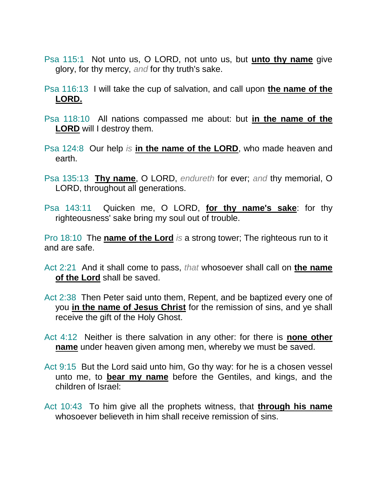- Psa 115:1 Not unto us, O LORD, not unto us, but **unto thy name** give glory, for thy mercy, *and* for thy truth's sake.
- Psa 116:13 I will take the cup of salvation, and call upon **the name of the LORD.**
- Psa 118:10 All nations compassed me about: but **in the name of the LORD** will I destroy them.
- Psa 124:8 Our help *is* **in the name of the LORD**, who made heaven and earth.
- Psa 135:13 **Thy name**, O LORD, *endureth* for ever; *and* thy memorial, O LORD, throughout all generations.
- Psa 143:11 Quicken me, O LORD, **for thy name's sake**: for thy righteousness' sake bring my soul out of trouble.

Pro 18:10 The **name of the Lord** *is* a strong tower; The righteous run to it and are safe.

- Act 2:21 And it shall come to pass, *that* whosoever shall call on **the name of the Lord** shall be saved.
- Act 2:38 Then Peter said unto them, Repent, and be baptized every one of you **in the name of Jesus Christ** for the remission of sins, and ye shall receive the gift of the Holy Ghost.
- Act 4:12 Neither is there salvation in any other: for there is **none other name** under heaven given among men, whereby we must be saved.
- Act 9:15 But the Lord said unto him, Go thy way: for he is a chosen vessel unto me, to **bear my name** before the Gentiles, and kings, and the children of Israel:
- Act 10:43 To him give all the prophets witness, that **through his name** whosoever believeth in him shall receive remission of sins.